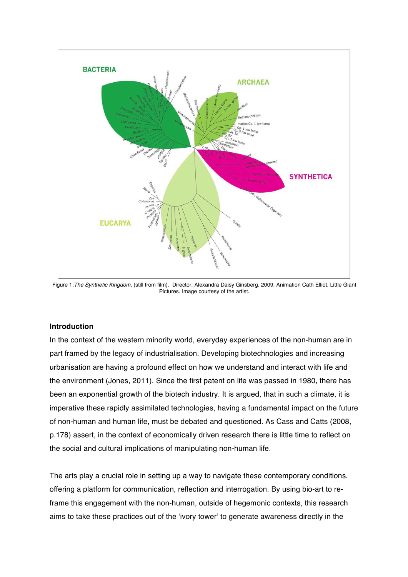

Figure 1:*The Synthetic Kingdom*, (still from film). Director, Alexandra Daisy Ginsberg, 2009, Animation Cath Elliot, Little Giant Pictures. Image courtesy of the artist.

## **Introduction**

In the context of the western minority world, everyday experiences of the non-human are in part framed by the legacy of industrialisation. Developing biotechnologies and increasing urbanisation are having a profound effect on how we understand and interact with life and the environment (Jones, 2011). Since the first patent on life was passed in 1980, there has been an exponential growth of the biotech industry. It is argued, that in such a climate, it is imperative these rapidly assimilated technologies, having a fundamental impact on the future of non-human and human life, must be debated and questioned. As Cass and Catts (2008, p.178) assert, in the context of economically driven research there is little time to reflect on the social and cultural implications of manipulating non-human life.

The arts play a crucial role in setting up a way to navigate these contemporary conditions, offering a platform for communication, reflection and interrogation. By using bio-art to reframe this engagement with the non-human, outside of hegemonic contexts, this research aims to take these practices out of the 'ivory tower' to generate awareness directly in the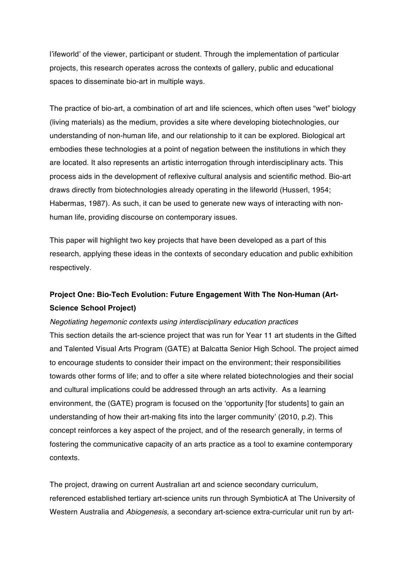l'ifeworld' of the viewer, participant or student. Through the implementation of particular projects, this research operates across the contexts of gallery, public and educational spaces to disseminate bio-art in multiple ways.

The practice of bio-art, a combination of art and life sciences, which often uses "wet" biology (living materials) as the medium, provides a site where developing biotechnologies, our understanding of non-human life, and our relationship to it can be explored. Biological art embodies these technologies at a point of negation between the institutions in which they are located. It also represents an artistic interrogation through interdisciplinary acts. This process aids in the development of reflexive cultural analysis and scientific method. Bio-art draws directly from biotechnologies already operating in the lifeworld (Husserl, 1954; Habermas, 1987). As such, it can be used to generate new ways of interacting with nonhuman life, providing discourse on contemporary issues.

This paper will highlight two key projects that have been developed as a part of this research, applying these ideas in the contexts of secondary education and public exhibition respectively.

# **Project One: Bio-Tech Evolution: Future Engagement With The Non-Human (Art-Science School Project)**

## *Negotiating hegemonic contexts using interdisciplinary education practices*

This section details the art-science project that was run for Year 11 art students in the Gifted and Talented Visual Arts Program (GATE) at Balcatta Senior High School. The project aimed to encourage students to consider their impact on the environment; their responsibilities towards other forms of life; and to offer a site where related biotechnologies and their social and cultural implications could be addressed through an arts activity. As a learning environment, the (GATE) program is focused on the 'opportunity [for students] to gain an understanding of how their art-making fits into the larger community' (2010, p.2). This concept reinforces a key aspect of the project, and of the research generally, in terms of fostering the communicative capacity of an arts practice as a tool to examine contemporary contexts.

The project, drawing on current Australian art and science secondary curriculum, referenced established tertiary art-science units run through SymbioticA at The University of Western Australia and *Abiogenesis,* a secondary art-science extra-curricular unit run by art-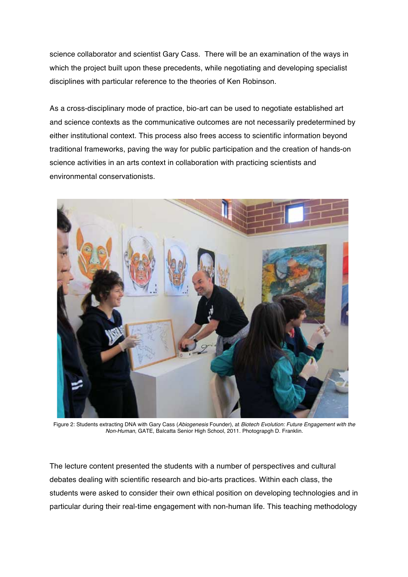science collaborator and scientist Gary Cass. There will be an examination of the ways in which the project built upon these precedents, while negotiating and developing specialist disciplines with particular reference to the theories of Ken Robinson.

As a cross-disciplinary mode of practice, bio-art can be used to negotiate established art and science contexts as the communicative outcomes are not necessarily predetermined by either institutional context. This process also frees access to scientific information beyond traditional frameworks, paving the way for public participation and the creation of hands-on science activities in an arts context in collaboration with practicing scientists and environmental conservationists.



Figure 2: Students extracting DNA with Gary Cass (*Abiogenesis* Founder), at *Biotech Evolution: Future Engagement with the Non-Human*, GATE, Balcatta Senior High School, 2011. Photograpgh D. Franklin.

The lecture content presented the students with a number of perspectives and cultural debates dealing with scientific research and bio-arts practices. Within each class, the students were asked to consider their own ethical position on developing technologies and in particular during their real-time engagement with non-human life. This teaching methodology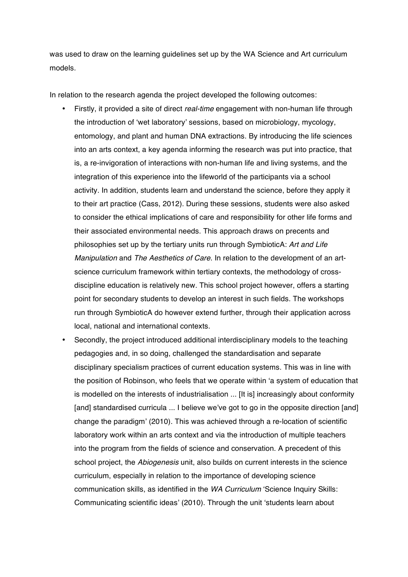was used to draw on the learning guidelines set up by the WA Science and Art curriculum models.

In relation to the research agenda the project developed the following outcomes:

- Firstly, it provided a site of direct *real-time* engagement with non-human life through the introduction of 'wet laboratory' sessions, based on microbiology, mycology, entomology, and plant and human DNA extractions. By introducing the life sciences into an arts context, a key agenda informing the research was put into practice, that is, a re-invigoration of interactions with non-human life and living systems, and the integration of this experience into the lifeworld of the participants via a school activity. In addition, students learn and understand the science, before they apply it to their art practice (Cass, 2012). During these sessions, students were also asked to consider the ethical implications of care and responsibility for other life forms and their associated environmental needs. This approach draws on precents and philosophies set up by the tertiary units run through SymbioticA: *Art and Life Manipulation* and *The Aesthetics of Care*. In relation to the development of an artscience curriculum framework within tertiary contexts, the methodology of crossdiscipline education is relatively new. This school project however, offers a starting point for secondary students to develop an interest in such fields. The workshops run through SymbioticA do however extend further, through their application across local, national and international contexts.
- Secondly, the project introduced additional interdisciplinary models to the teaching pedagogies and, in so doing, challenged the standardisation and separate disciplinary specialism practices of current education systems. This was in line with the position of Robinson, who feels that we operate within 'a system of education that is modelled on the interests of industrialisation ... [It is] increasingly about conformity [and] standardised curricula ... I believe we've got to go in the opposite direction [and] change the paradigm' (2010). This was achieved through a re-location of scientific laboratory work within an arts context and via the introduction of multiple teachers into the program from the fields of science and conservation. A precedent of this school project, the *Abiogenesis* unit, also builds on current interests in the science curriculum, especially in relation to the importance of developing science communication skills, as identified in the *WA Curriculum* 'Science Inquiry Skills: Communicating scientific ideas' (2010). Through the unit 'students learn about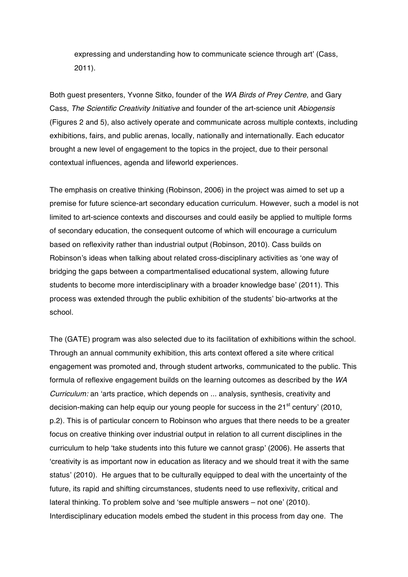expressing and understanding how to communicate science through art' (Cass, 2011).

Both guest presenters, Yvonne Sitko, founder of the *WA Birds of Prey Centre,* and Gary Cass, *The Scientific Creativity Initiative* and founder of the art-science unit *Abiogensis* (Figures 2 and 5), also actively operate and communicate across multiple contexts, including exhibitions, fairs, and public arenas, locally, nationally and internationally. Each educator brought a new level of engagement to the topics in the project, due to their personal contextual influences, agenda and lifeworld experiences.

The emphasis on creative thinking (Robinson, 2006) in the project was aimed to set up a premise for future science-art secondary education curriculum. However, such a model is not limited to art-science contexts and discourses and could easily be applied to multiple forms of secondary education, the consequent outcome of which will encourage a curriculum based on reflexivity rather than industrial output (Robinson, 2010). Cass builds on Robinson's ideas when talking about related cross-disciplinary activities as 'one way of bridging the gaps between a compartmentalised educational system, allowing future students to become more interdisciplinary with a broader knowledge base' (2011). This process was extended through the public exhibition of the students' bio-artworks at the school.

The (GATE) program was also selected due to its facilitation of exhibitions within the school. Through an annual community exhibition, this arts context offered a site where critical engagement was promoted and, through student artworks, communicated to the public. This formula of reflexive engagement builds on the learning outcomes as described by the *WA Curriculum:* an 'arts practice, which depends on ... analysis, synthesis, creativity and decision-making can help equip our young people for success in the  $21<sup>st</sup>$  century' (2010, p.2). This is of particular concern to Robinson who argues that there needs to be a greater focus on creative thinking over industrial output in relation to all current disciplines in the curriculum to help 'take students into this future we cannot grasp' (2006). He asserts that 'creativity is as important now in education as literacy and we should treat it with the same status' (2010). He argues that to be culturally equipped to deal with the uncertainty of the future, its rapid and shifting circumstances, students need to use reflexivity, critical and lateral thinking. To problem solve and 'see multiple answers – not one' (2010). Interdisciplinary education models embed the student in this process from day one. The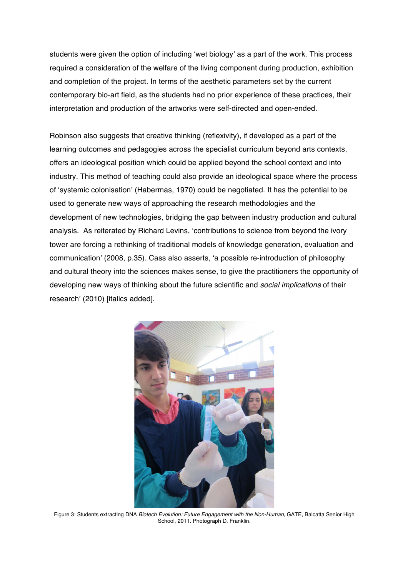students were given the option of including 'wet biology' as a part of the work. This process required a consideration of the welfare of the living component during production, exhibition and completion of the project. In terms of the aesthetic parameters set by the current contemporary bio-art field, as the students had no prior experience of these practices, their interpretation and production of the artworks were self-directed and open-ended.

Robinson also suggests that creative thinking (reflexivity), if developed as a part of the learning outcomes and pedagogies across the specialist curriculum beyond arts contexts, offers an ideological position which could be applied beyond the school context and into industry. This method of teaching could also provide an ideological space where the process of 'systemic colonisation' (Habermas, 1970) could be negotiated. It has the potential to be used to generate new ways of approaching the research methodologies and the development of new technologies, bridging the gap between industry production and cultural analysis. As reiterated by Richard Levins, 'contributions to science from beyond the ivory tower are forcing a rethinking of traditional models of knowledge generation, evaluation and communication' (2008, p.35). Cass also asserts, 'a possible re-introduction of philosophy and cultural theory into the sciences makes sense, to give the practitioners the opportunity of developing new ways of thinking about the future scientific and *social implications* of their research' (2010) [italics added].



Figure 3: Students extracting DNA *Biotech Evolution: Future Engagement with the Non-Human*, GATE, Balcatta Senior High School, 2011. Photograph D. Franklin.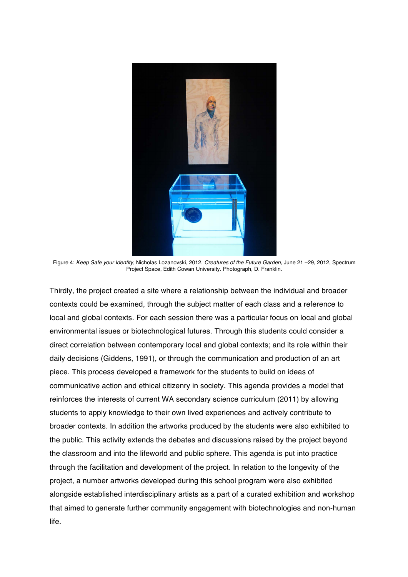

Figure 4: *Keep Safe your Identity,* Nicholas Lozanovski, 2012, *Creatures of the Future Garden*, June 21 –29, 2012, Spectrum Project Space, Edith Cowan University. Photograph, D. Franklin.

Thirdly, the project created a site where a relationship between the individual and broader contexts could be examined, through the subject matter of each class and a reference to local and global contexts. For each session there was a particular focus on local and global environmental issues or biotechnological futures. Through this students could consider a direct correlation between contemporary local and global contexts; and its role within their daily decisions (Giddens, 1991), or through the communication and production of an art piece. This process developed a framework for the students to build on ideas of communicative action and ethical citizenry in society. This agenda provides a model that reinforces the interests of current WA secondary science curriculum (2011) by allowing students to apply knowledge to their own lived experiences and actively contribute to broader contexts. In addition the artworks produced by the students were also exhibited to the public. This activity extends the debates and discussions raised by the project beyond the classroom and into the lifeworld and public sphere. This agenda is put into practice through the facilitation and development of the project. In relation to the longevity of the project, a number artworks developed during this school program were also exhibited alongside established interdisciplinary artists as a part of a curated exhibition and workshop that aimed to generate further community engagement with biotechnologies and non-human life.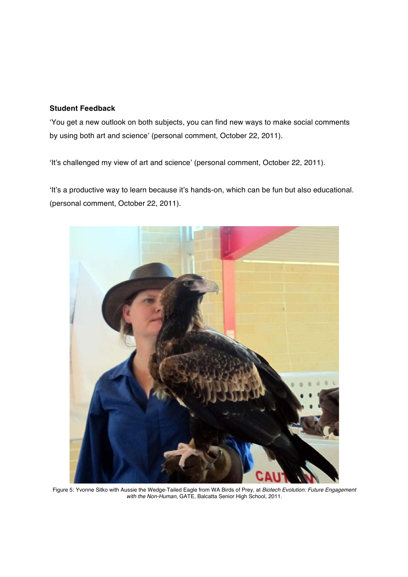## **Student Feedback**

'You get a new outlook on both subjects, you can find new ways to make social comments by using both art and science' (personal comment, October 22, 2011).

'It's challenged my view of art and science' (personal comment, October 22, 2011).

'It's a productive way to learn because it's hands-on, which can be fun but also educational. (personal comment, October 22, 2011).



Figure 5: Yvonne Sitko with Aussie the Wedge-Tailed Eagle from WA Birds of Prey, at *Biotech Evolution: Future Engagement with the Non-Human*, GATE, Balcatta Senior High School, 2011.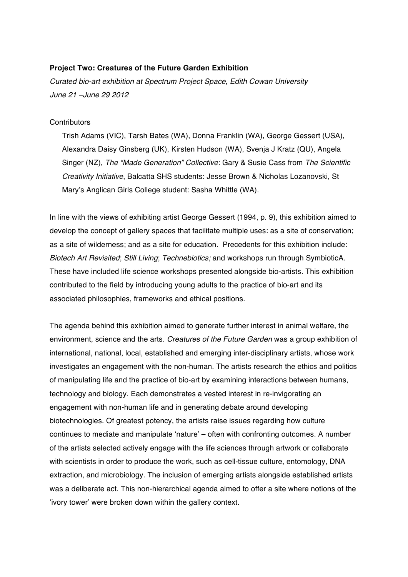## **Project Two: Creatures of the Future Garden Exhibition**

*Curated bio-art exhibition at Spectrum Project Space, Edith Cowan University June 21 –June 29 2012*

#### **Contributors**

Trish Adams (VIC), Tarsh Bates (WA), Donna Franklin (WA), George Gessert (USA), Alexandra Daisy Ginsberg (UK), Kirsten Hudson (WA), Svenja J Kratz (QU), Angela Singer (NZ), *The "Made Generation" Collective*: Gary & Susie Cass from *The Scientific Creativity Initiative*, Balcatta SHS students: Jesse Brown & Nicholas Lozanovski, St Mary's Anglican Girls College student: Sasha Whittle (WA).

In line with the views of exhibiting artist George Gessert (1994, p. 9), this exhibition aimed to develop the concept of gallery spaces that facilitate multiple uses: as a site of conservation; as a site of wilderness; and as a site for education. Precedents for this exhibition include: *Biotech Art Revisited*; *Still Living*; *Technebiotics;* and workshops run through SymbioticA. These have included life science workshops presented alongside bio-artists. This exhibition contributed to the field by introducing young adults to the practice of bio-art and its associated philosophies, frameworks and ethical positions.

The agenda behind this exhibition aimed to generate further interest in animal welfare, the environment, science and the arts. *Creatures of the Future Garden* was a group exhibition of international, national, local, established and emerging inter-disciplinary artists, whose work investigates an engagement with the non-human. The artists research the ethics and politics of manipulating life and the practice of bio-art by examining interactions between humans, technology and biology. Each demonstrates a vested interest in re-invigorating an engagement with non-human life and in generating debate around developing biotechnologies. Of greatest potency, the artists raise issues regarding how culture continues to mediate and manipulate 'nature' – often with confronting outcomes. A number of the artists selected actively engage with the life sciences through artwork or collaborate with scientists in order to produce the work, such as cell-tissue culture, entomology, DNA extraction, and microbiology. The inclusion of emerging artists alongside established artists was a deliberate act. This non-hierarchical agenda aimed to offer a site where notions of the 'ivory tower' were broken down within the gallery context.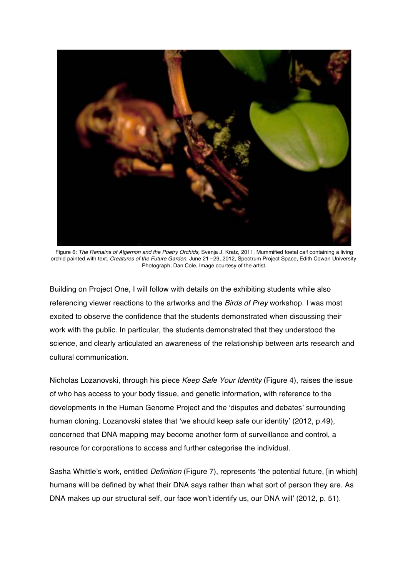

Figure 6: *The Remains of Algernon and the Poetry Orchids,* Svenja J. Kratz, 2011, Mummified foetal calf containing a living orchid painted with text. *Creatures of the Future Garden*, June 21 –29, 2012, Spectrum Project Space, Edith Cowan University. Photograph, Dan Cole, Image courtesy of the artist.

Building on Project One, I will follow with details on the exhibiting students while also referencing viewer reactions to the artworks and the *Birds of Prey* workshop. I was most excited to observe the confidence that the students demonstrated when discussing their work with the public. In particular, the students demonstrated that they understood the science, and clearly articulated an awareness of the relationship between arts research and cultural communication.

Nicholas Lozanovski, through his piece *Keep Safe Your Identity* (Figure 4), raises the issue of who has access to your body tissue, and genetic information, with reference to the developments in the Human Genome Project and the 'disputes and debates' surrounding human cloning. Lozanovski states that 'we should keep safe our identity' (2012, p.49), concerned that DNA mapping may become another form of surveillance and control, a resource for corporations to access and further categorise the individual.

Sasha Whittle's work, entitled *Definition* (Figure 7), represents 'the potential future, [in which] humans will be defined by what their DNA says rather than what sort of person they are. As DNA makes up our structural self, our face won't identify us, our DNA will' (2012, p. 51).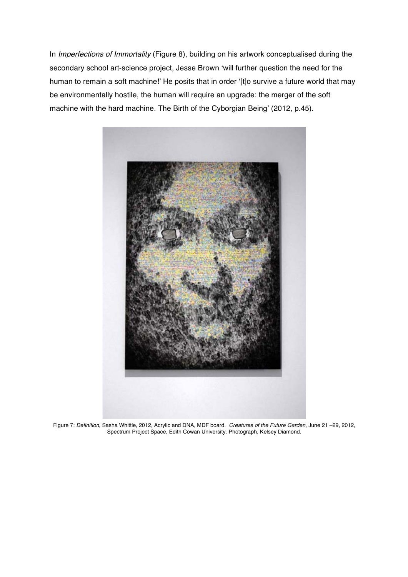In *Imperfections of Immortality* (Figure 8), building on his artwork conceptualised during the secondary school art-science project, Jesse Brown 'will further question the need for the human to remain a soft machine!' He posits that in order '[t]o survive a future world that may be environmentally hostile, the human will require an upgrade: the merger of the soft machine with the hard machine. The Birth of the Cyborgian Being' (2012, p.45).



Figure 7: *Definition*, Sasha Whittle, 2012, Acrylic and DNA, MDF board. *Creatures of the Future Garden*, June 21 –29, 2012, Spectrum Project Space, Edith Cowan University. Photograph, Kelsey Diamond.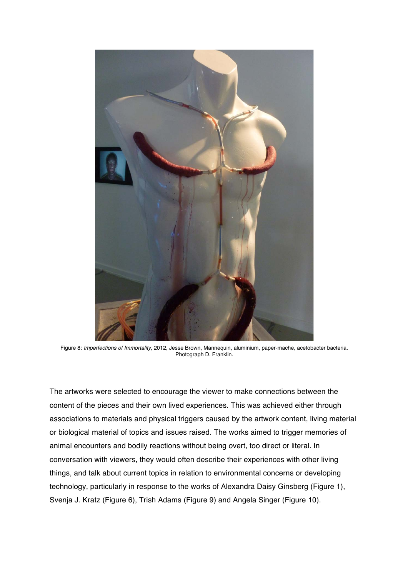

Figure 8: *Imperfections of Immortality*, 2012, Jesse Brown, Mannequin, aluminium, paper-mache, acetobacter bacteria. Photograph D. Franklin.

The artworks were selected to encourage the viewer to make connections between the content of the pieces and their own lived experiences. This was achieved either through associations to materials and physical triggers caused by the artwork content, living material or biological material of topics and issues raised. The works aimed to trigger memories of animal encounters and bodily reactions without being overt, too direct or literal. In conversation with viewers, they would often describe their experiences with other living things, and talk about current topics in relation to environmental concerns or developing technology, particularly in response to the works of Alexandra Daisy Ginsberg (Figure 1), Svenja J. Kratz (Figure 6), Trish Adams (Figure 9) and Angela Singer (Figure 10).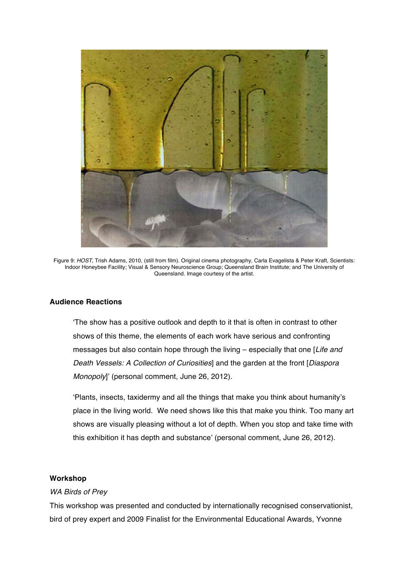

Figure 9: *HOST*, Trish Adams, 2010, (still from film). Original cinema photography, Carla Evagelista & Peter Kraft, Scientists: Indoor Honeybee Facility; Visual & Sensory Neuroscience Group; Queensland Brain Institute; and The University of Queensland. Image courtesy of the artist.

## **Audience Reactions**

'The show has a positive outlook and depth to it that is often in contrast to other shows of this theme, the elements of each work have serious and confronting messages but also contain hope through the living – especially that one [*Life and Death Vessels: A Collection of Curiosities*] and the garden at the front [*Diaspora Monopoly*]' (personal comment, June 26, 2012).

'Plants, insects, taxidermy and all the things that make you think about humanity's place in the living world. We need shows like this that make you think. Too many art shows are visually pleasing without a lot of depth. When you stop and take time with this exhibition it has depth and substance' (personal comment, June 26, 2012).

### **Workshop**

#### *WA Birds of Prey*

This workshop was presented and conducted by internationally recognised conservationist, bird of prey expert and 2009 Finalist for the Environmental Educational Awards, Yvonne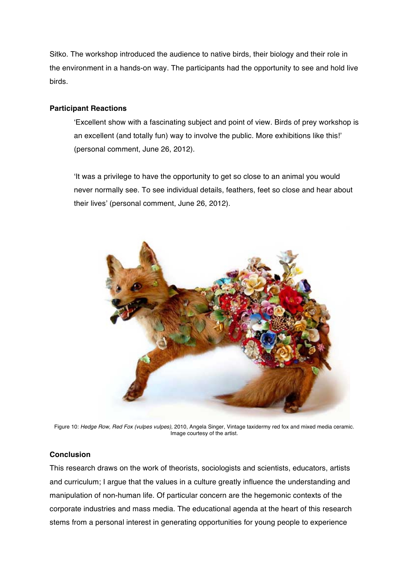Sitko. The workshop introduced the audience to native birds, their biology and their role in the environment in a hands-on way. The participants had the opportunity to see and hold live birds.

## **Participant Reactions**

'Excellent show with a fascinating subject and point of view. Birds of prey workshop is an excellent (and totally fun) way to involve the public. More exhibitions like this!' (personal comment, June 26, 2012).

'It was a privilege to have the opportunity to get so close to an animal you would never normally see. To see individual details, feathers, feet so close and hear about their lives' (personal comment, June 26, 2012).



Figure 10: *Hedge Row, Red Fox (vulpes vulpes),* 2010, Angela Singer, Vintage taxidermy red fox and mixed media ceramic. Image courtesy of the artist.

# **Conclusion**

This research draws on the work of theorists, sociologists and scientists, educators, artists and curriculum; I argue that the values in a culture greatly influence the understanding and manipulation of non-human life. Of particular concern are the hegemonic contexts of the corporate industries and mass media. The educational agenda at the heart of this research stems from a personal interest in generating opportunities for young people to experience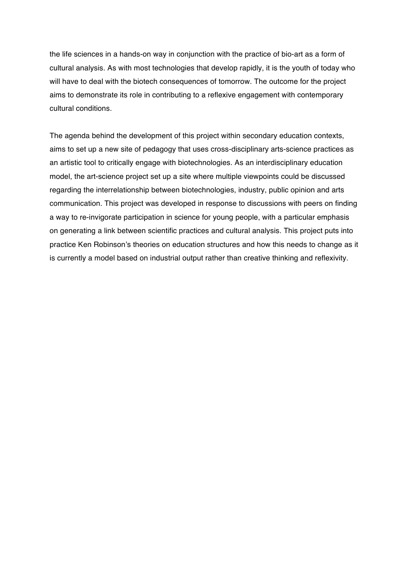the life sciences in a hands-on way in conjunction with the practice of bio-art as a form of cultural analysis. As with most technologies that develop rapidly, it is the youth of today who will have to deal with the biotech consequences of tomorrow. The outcome for the project aims to demonstrate its role in contributing to a reflexive engagement with contemporary cultural conditions.

The agenda behind the development of this project within secondary education contexts, aims to set up a new site of pedagogy that uses cross-disciplinary arts-science practices as an artistic tool to critically engage with biotechnologies. As an interdisciplinary education model, the art-science project set up a site where multiple viewpoints could be discussed regarding the interrelationship between biotechnologies, industry, public opinion and arts communication. This project was developed in response to discussions with peers on finding a way to re-invigorate participation in science for young people, with a particular emphasis on generating a link between scientific practices and cultural analysis. This project puts into practice Ken Robinson's theories on education structures and how this needs to change as it is currently a model based on industrial output rather than creative thinking and reflexivity.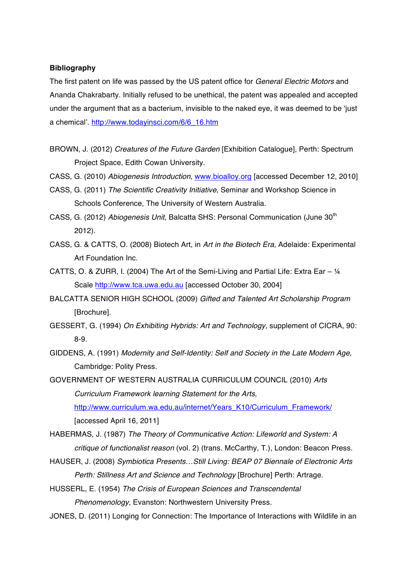### **Bibliography**

The first patent on life was passed by the US patent office for *General Electric Motors* and Ananda Chakrabarty. Initially refused to be unethical, the patent was appealed and accepted under the argument that as a bacterium, invisible to the naked eye, it was deemed to be 'just a chemical'. http://www.todayinsci.com/6/6\_16.htm

- BROWN, J. (2012) *Creatures of the Future Garden* [Exhibition Catalogue], Perth: Spectrum Project Space, Edith Cowan University.
- CASS, G. (2010) *Abiogenesis Introduction*, www.bioalloy.org [accessed December 12, 2010]
- CASS, G. (2011) *The Scientific Creativity Initiative,* Seminar and Workshop Science in Schools Conference, The University of Western Australia.
- CASS, G. (2012) *Abiogenesis Unit*, Balcatta SHS: Personal Communication (June 30<sup>th</sup>) 2012).
- CASS, G. & CATTS, O. (2008) Biotech Art, in *Art in the Biotech Era*, Adelaide: Experimental Art Foundation Inc.
- CATTS, O. & ZURR, I. (2004) The Art of the Semi-Living and Partial Life: Extra Ear  $\frac{1}{4}$ Scale http://www.tca.uwa.edu.au [accessed October 30, 2004]
- BALCATTA SENIOR HIGH SCHOOL (2009) *Gifted and Talented Art Scholarship Program* [Brochure].
- GESSERT, G. (1994) *On Exhibiting Hybrids: Art and Technology,* supplement of CICRA, 90: 8-9.
- GIDDENS, A. (1991) *Modernity and Self-Identity: Self and Society in the Late Modern Age,* Cambridge: Polity Press.

GOVERNMENT OF WESTERN AUSTRALIA CURRICULUM COUNCIL (2010) *Arts Curriculum Framework learning Statement for the Arts*, http://www.curriculum.wa.edu.au/internet/Years\_K10/Curriculum\_Framework/ [accessed April 16, 2011]

HABERMAS, J. (1987) *The Theory of Communicative Action: Lifeworld and System: A critique of functionalist reason* (vol. 2) (trans. McCarthy, T.), London: Beacon Press.

HAUSER, J. (2008) *Symbiotica Presents…Still Living: BEAP 07 Biennale of Electronic Arts Perth: Stillness Art and Science and Technology* [Brochure] Perth: Artrage.

HUSSERL, E. (1954) *The Crisis of European Sciences and Transcendental Phenomenology*, Evanston: Northwestern University Press.

JONES, D. (2011) Longing for Connection: The Importance of Interactions with Wildlife in an